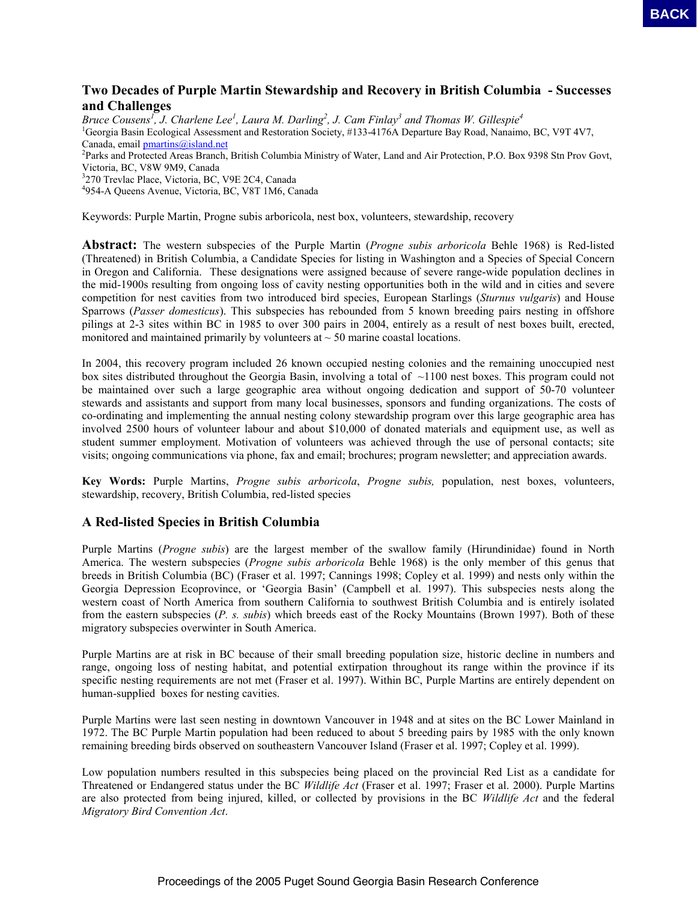## **Two Decades of Purple Martin Stewardship and Recovery in British Columbia - Successes and Challenges**

Bruce Cousens<sup>1</sup>, J. Charlene Lee<sup>1</sup>, Laura M. Darling<sup>2</sup>, J. Cam Finlay<sup>3</sup> and Thomas W. Gillespie<sup>4</sup> <sup>1</sup>Georgia Basin Ecological Assessment and Restoration Society, #133-4176A Departure Bay Road, Nanaimo, BC, V9T 4V7, Canada, email  $p$ martins@island.net <sup>2</sup>Parks and Protected Areas Branch, British Columbia Ministry of Water, Land and Air Protection, P.O. Box 9398 Stn Prov Govt, Victoria, BC, V8W 9M9, Canada 3 270 Trevlac Place, Victoria, BC, V9E 2C4, Canada

4 954-A Queens Avenue, Victoria, BC, V8T 1M6, Canada

Keywords: Purple Martin, Progne subis arboricola, nest box, volunteers, stewardship, recovery

**Abstract:** The western subspecies of the Purple Martin (*Progne subis arboricola* Behle 1968) is Red-listed (Threatened) in British Columbia, a Candidate Species for listing in Washington and a Species of Special Concern in Oregon and California. These designations were assigned because of severe range-wide population declines in the mid-1900s resulting from ongoing loss of cavity nesting opportunities both in the wild and in cities and severe competition for nest cavities from two introduced bird species, European Starlings (*Sturnus vulgaris*) and House Sparrows (*Passer domesticus*). This subspecies has rebounded from 5 known breeding pairs nesting in offshore pilings at 2-3 sites within BC in 1985 to over 300 pairs in 2004, entirely as a result of nest boxes built, erected, monitored and maintained primarily by volunteers at  $\sim$  50 marine coastal locations. **EACH Control is the variable of the 2006 Pulleting of the 2006 Pulleting Conference Conference Conference Conference Conference Conference Conference Conference Conference Conference Conference Conference Conference Conf** 

In 2004, this recovery program included 26 known occupied nesting colonies and the remaining unoccupied nest box sites distributed throughout the Georgia Basin, involving a total of ~1100 nest boxes. This program could not be maintained over such a large geographic area without ongoing dedication and support of 50-70 volunteer stewards and assistants and support from many local businesses, sponsors and funding organizations. The costs of co-ordinating and implementing the annual nesting colony stewardship program over this large geographic area has involved 2500 hours of volunteer labour and about \$10,000 of donated materials and equipment use, as well as student summer employment. Motivation of volunteers was achieved through the use of personal contacts; site visits; ongoing communications via phone, fax and email; brochures; program newsletter; and appreciation awards.

**Key Words:** Purple Martins, *Progne subis arboricola*, *Progne subis,* population, nest boxes, volunteers, stewardship, recovery, British Columbia, red-listed species

#### **A Red-listed Species in British Columbia**

Purple Martins (*Progne subis*) are the largest member of the swallow family (Hirundinidae) found in North America. The western subspecies (*Progne subis arboricola* Behle 1968) is the only member of this genus that breeds in British Columbia (BC) (Fraser et al. 1997; Cannings 1998; Copley et al. 1999) and nests only within the Georgia Depression Ecoprovince, or 'Georgia Basin' (Campbell et al. 1997). This subspecies nests along the western coast of North America from southern California to southwest British Columbia and is entirely isolated from the eastern subspecies (*P. s. subis*) which breeds east of the Rocky Mountains (Brown 1997). Both of these migratory subspecies overwinter in South America.

Purple Martins are at risk in BC because of their small breeding population size, historic decline in numbers and range, ongoing loss of nesting habitat, and potential extirpation throughout its range within the province if its specific nesting requirements are not met (Fraser et al. 1997). Within BC, Purple Martins are entirely dependent on human-supplied boxes for nesting cavities.

Purple Martins were last seen nesting in downtown Vancouver in 1948 and at sites on the BC Lower Mainland in 1972. The BC Purple Martin population had been reduced to about 5 breeding pairs by 1985 with the only known remaining breeding birds observed on southeastern Vancouver Island (Fraser et al. 1997; Copley et al. 1999).

Low population numbers resulted in this subspecies being placed on the provincial Red List as a candidate for Threatened or Endangered status under the BC *Wildlife Act* (Fraser et al. 1997; Fraser et al. 2000). Purple Martins are also protected from being injured, killed, or collected by provisions in the BC *Wildlife Act* and the federal *Migratory Bird Convention Act*.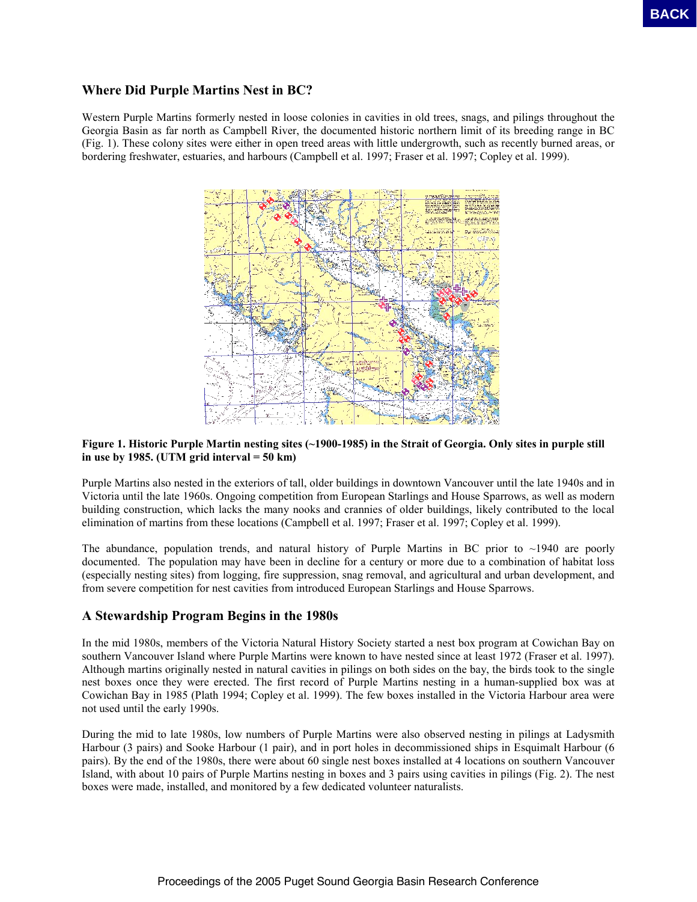## **Where Did Purple Martins Nest in BC?**

Western Purple Martins formerly nested in loose colonies in cavities in old trees, snags, and pilings throughout the Georgia Basin as far north as Campbell River, the documented historic northern limit of its breeding range in BC (Fig. 1). These colony sites were either in open treed areas with little undergrowth, such as recently burned areas, or bordering freshwater, estuaries, and harbours (Campbell et al. 1997; Fraser et al. 1997; Copley et al. 1999).



#### **Figure 1. Historic Purple Martin nesting sites (~1900-1985) in the Strait of Georgia. Only sites in purple still in use by 1985. (UTM grid interval = 50 km)**

Purple Martins also nested in the exteriors of tall, older buildings in downtown Vancouver until the late 1940s and in Victoria until the late 1960s. Ongoing competition from European Starlings and House Sparrows, as well as modern building construction, which lacks the many nooks and crannies of older buildings, likely contributed to the local elimination of martins from these locations (Campbell et al. 1997; Fraser et al. 1997; Copley et al. 1999).

The abundance, population trends, and natural history of Purple Martins in BC prior to  $\sim$ 1940 are poorly documented. The population may have been in decline for a century or more due to a combination of habitat loss (especially nesting sites) from logging, fire suppression, snag removal, and agricultural and urban development, and from severe competition for nest cavities from introduced European Starlings and House Sparrows.

### **A Stewardship Program Begins in the 1980s**

In the mid 1980s, members of the Victoria Natural History Society started a nest box program at Cowichan Bay on southern Vancouver Island where Purple Martins were known to have nested since at least 1972 (Fraser et al. 1997). Although martins originally nested in natural cavities in pilings on both sides on the bay, the birds took to the single nest boxes once they were erected. The first record of Purple Martins nesting in a human-supplied box was at Cowichan Bay in 1985 (Plath 1994; Copley et al. 1999). The few boxes installed in the Victoria Harbour area were not used until the early 1990s.

During the mid to late 1980s, low numbers of Purple Martins were also observed nesting in pilings at Ladysmith Harbour (3 pairs) and Sooke Harbour (1 pair), and in port holes in decommissioned ships in Esquimalt Harbour (6 pairs). By the end of the 1980s, there were about 60 single nest boxes installed at 4 locations on southern Vancouver Island, with about 10 pairs of Purple Martins nesting in boxes and 3 pairs using cavities in pilings (Fig. 2). The nest boxes were made, installed, and monitored by a few dedicated volunteer naturalists.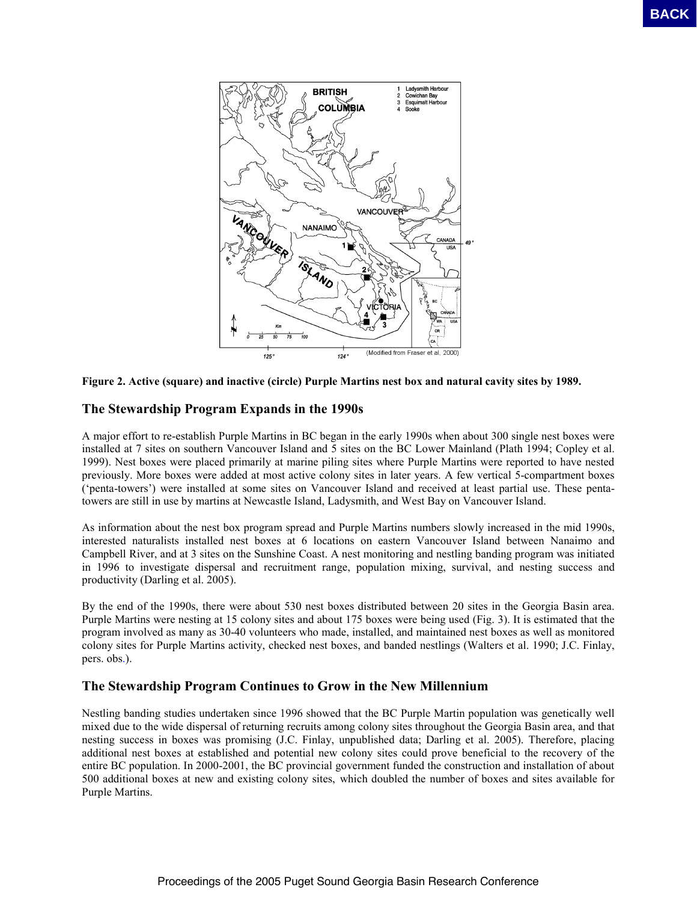



# **The Stewardship Program Expands in the 1990s**

A major effort to re-establish Purple Martins in BC began in the early 1990s when about 300 single nest boxes were installed at 7 sites on southern Vancouver Island and 5 sites on the BC Lower Mainland (Plath 1994; Copley et al. 1999). Nest boxes were placed primarily at marine piling sites where Purple Martins were reported to have nested previously. More boxes were added at most active colony sites in later years. A few vertical 5-compartment boxes ('penta-towers') were installed at some sites on Vancouver Island and received at least partial use. These pentatowers are still in use by martins at Newcastle Island, Ladysmith, and West Bay on Vancouver Island.

As information about the nest box program spread and Purple Martins numbers slowly increased in the mid 1990s, interested naturalists installed nest boxes at 6 locations on eastern Vancouver Island between Nanaimo and Campbell River, and at 3 sites on the Sunshine Coast. A nest monitoring and nestling banding program was initiated in 1996 to investigate dispersal and recruitment range, population mixing, survival, and nesting success and productivity (Darling et al. 2005).

By the end of the 1990s, there were about 530 nest boxes distributed between 20 sites in the Georgia Basin area. Purple Martins were nesting at 15 colony sites and about 175 boxes were being used (Fig. 3). It is estimated that the program involved as many as 30-40 volunteers who made, installed, and maintained nest boxes as well as monitored colony sites for Purple Martins activity, checked nest boxes, and banded nestlings (Walters et al. 1990; J.C. Finlay, pers. obs.).

### **The Stewardship Program Continues to Grow in the New Millennium**

Nestling banding studies undertaken since 1996 showed that the BC Purple Martin population was genetically well mixed due to the wide dispersal of returning recruits among colony sites throughout the Georgia Basin area, and that nesting success in boxes was promising (J.C. Finlay, unpublished data; Darling et al. 2005). Therefore, placing additional nest boxes at established and potential new colony sites could prove beneficial to the recovery of the entire BC population. In 2000-2001, the BC provincial government funded the construction and installation of about 500 additional boxes at new and existing colony sites, which doubled the number of boxes and sites available for Purple Martins.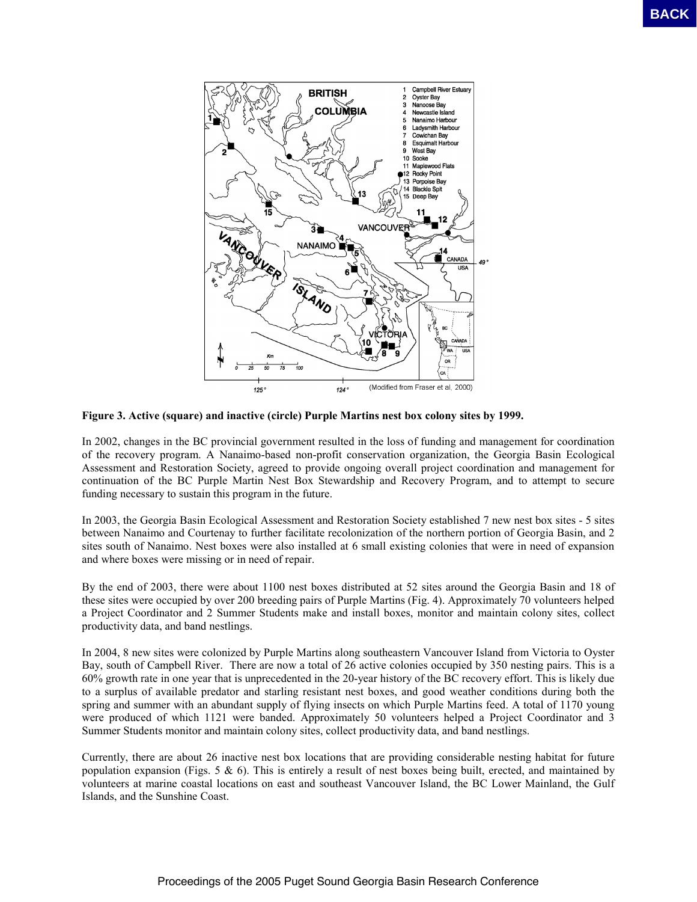

**Figure 3. Active (square) and inactive (circle) Purple Martins nest box colony sites by 1999.** 

In 2002, changes in the BC provincial government resulted in the loss of funding and management for coordination of the recovery program. A Nanaimo-based non-profit conservation organization, the Georgia Basin Ecological Assessment and Restoration Society, agreed to provide ongoing overall project coordination and management for continuation of the BC Purple Martin Nest Box Stewardship and Recovery Program, and to attempt to secure funding necessary to sustain this program in the future.

In 2003, the Georgia Basin Ecological Assessment and Restoration Society established 7 new nest box sites - 5 sites between Nanaimo and Courtenay to further facilitate recolonization of the northern portion of Georgia Basin, and 2 sites south of Nanaimo. Nest boxes were also installed at 6 small existing colonies that were in need of expansion and where boxes were missing or in need of repair.

By the end of 2003, there were about 1100 nest boxes distributed at 52 sites around the Georgia Basin and 18 of these sites were occupied by over 200 breeding pairs of Purple Martins (Fig. 4). Approximately 70 volunteers helped a Project Coordinator and 2 Summer Students make and install boxes, monitor and maintain colony sites, collect productivity data, and band nestlings.

In 2004, 8 new sites were colonized by Purple Martins along southeastern Vancouver Island from Victoria to Oyster Bay, south of Campbell River. There are now a total of 26 active colonies occupied by 350 nesting pairs. This is a 60% growth rate in one year that is unprecedented in the 20-year history of the BC recovery effort. This is likely due to a surplus of available predator and starling resistant nest boxes, and good weather conditions during both the spring and summer with an abundant supply of flying insects on which Purple Martins feed. A total of 1170 young were produced of which 1121 were banded. Approximately 50 volunteers helped a Project Coordinator and 3 Summer Students monitor and maintain colony sites, collect productivity data, and band nestlings.

Currently, there are about 26 inactive nest box locations that are providing considerable nesting habitat for future population expansion (Figs. 5  $\&$  6). This is entirely a result of nest boxes being built, erected, and maintained by volunteers at marine coastal locations on east and southeast Vancouver Island, the BC Lower Mainland, the Gulf Islands, and the Sunshine Coast.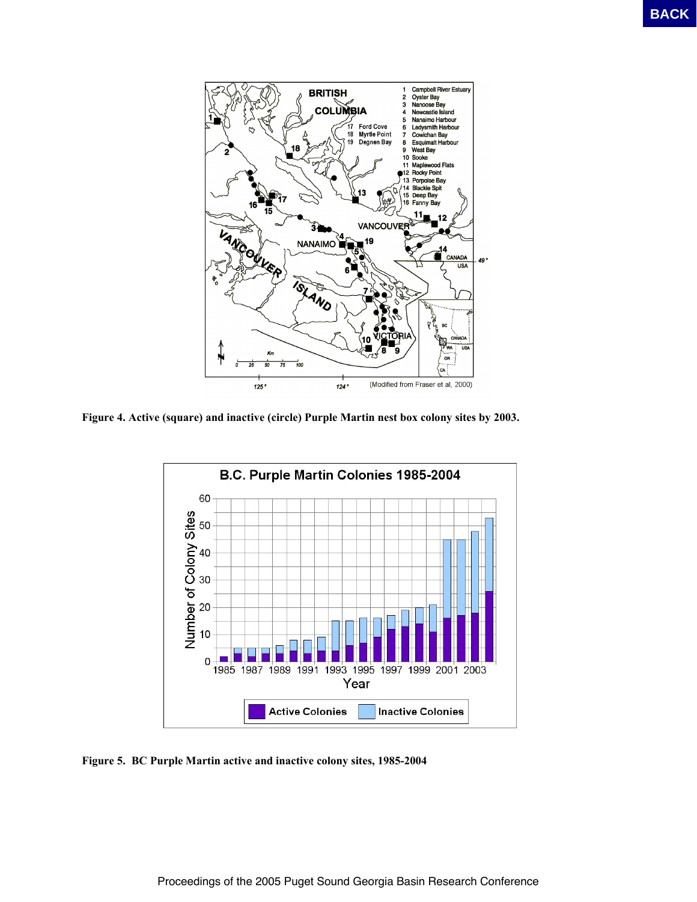

**Figure 4. Active (square) and inactive (circle) Purple Martin nest box colony sites by 2003.** 



**Figure 5. BC Purple Martin active and inactive colony sites, 1985-2004**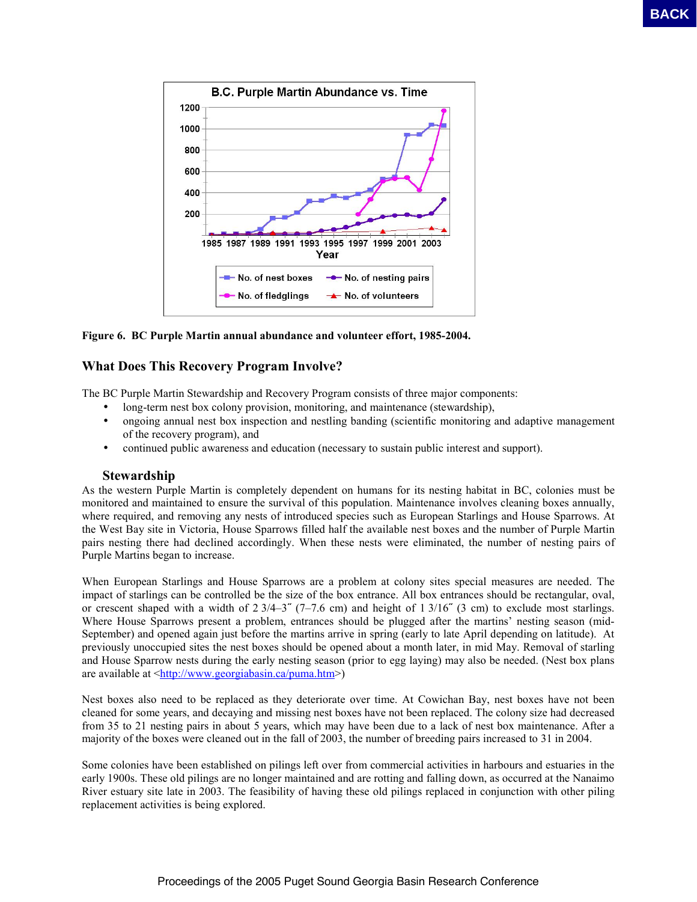

**Figure 6. BC Purple Martin annual abundance and volunteer effort, 1985-2004.** 

## **What Does This Recovery Program Involve?**

The BC Purple Martin Stewardship and Recovery Program consists of three major components:

- long-term nest box colony provision, monitoring, and maintenance (stewardship),
- ongoing annual nest box inspection and nestling banding (scientific monitoring and adaptive management of the recovery program), and
- continued public awareness and education (necessary to sustain public interest and support).

### **Stewardship**

As the western Purple Martin is completely dependent on humans for its nesting habitat in BC, colonies must be monitored and maintained to ensure the survival of this population. Maintenance involves cleaning boxes annually, where required, and removing any nests of introduced species such as European Starlings and House Sparrows. At the West Bay site in Victoria, House Sparrows filled half the available nest boxes and the number of Purple Martin pairs nesting there had declined accordingly. When these nests were eliminated, the number of nesting pairs of Purple Martins began to increase.

When European Starlings and House Sparrows are a problem at colony sites special measures are needed. The impact of starlings can be controlled be the size of the box entrance. All box entrances should be rectangular, oval, or crescent shaped with a width of  $2\frac{3}{4-3}$  (7–7.6 cm) and height of 1 3/16<sup> $\degree$ </sup> (3 cm) to exclude most starlings. Where House Sparrows present a problem, entrances should be plugged after the martins' nesting season (mid-September) and opened again just before the martins arrive in spring (early to late April depending on latitude). At previously unoccupied sites the nest boxes should be opened about a month later, in mid May. Removal of starling and House Sparrow nests during the early nesting season (prior to egg laying) may also be needed. (Nest box plans are available at [<http://www.georgiabasin.ca/puma.htm>](http://www.georgiabasin.ca/puma.htm))

Nest boxes also need to be replaced as they deteriorate over time. At Cowichan Bay, nest boxes have not been cleaned for some years, and decaying and missing nest boxes have not been replaced. The colony size had decreased from 35 to 21 nesting pairs in about 5 years, which may have been due to a lack of nest box maintenance. After a majority of the boxes were cleaned out in the fall of 2003, the number of breeding pairs increased to 31 in 2004.

Some colonies have been established on pilings left over from commercial activities in harbours and estuaries in the early 1900s. These old pilings are no longer maintained and are rotting and falling down, as occurred at the Nanaimo River estuary site late in 2003. The feasibility of having these old pilings replaced in conjunction with other piling replacement activities is being explored.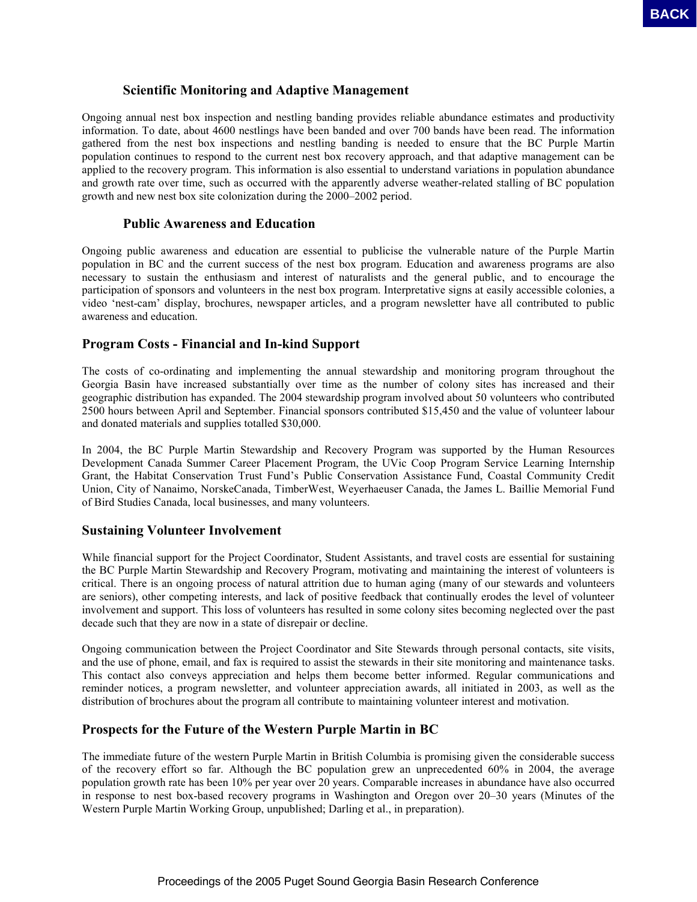## **Scientific Monitoring and Adaptive Management**

Ongoing annual nest box inspection and nestling banding provides reliable abundance estimates and productivity information. To date, about 4600 nestlings have been banded and over 700 bands have been read. The information gathered from the nest box inspections and nestling banding is needed to ensure that the BC Purple Martin population continues to respond to the current nest box recovery approach, and that adaptive management can be applied to the recovery program. This information is also essential to understand variations in population abundance and growth rate over time, such as occurred with the apparently adverse weather-related stalling of BC population growth and new nest box site colonization during the 2000–2002 period. **EACH CONSULTER AND ACTION CONSULTER AND ACTES CONSULTER AND ACTES CONSULTER AND ACTES CONSULTER AND ACTES CONSULTER AND ACTES CONSULTER AND ACTES CONSULTER AND ACTES CONSULTER AND ACTES CONSULTER AND ACTES CONSULTER AND A** 

#### **Public Awareness and Education**

Ongoing public awareness and education are essential to publicise the vulnerable nature of the Purple Martin population in BC and the current success of the nest box program. Education and awareness programs are also necessary to sustain the enthusiasm and interest of naturalists and the general public, and to encourage the participation of sponsors and volunteers in the nest box program. Interpretative signs at easily accessible colonies, a video 'nest-cam' display, brochures, newspaper articles, and a program newsletter have all contributed to public awareness and education.

### **Program Costs - Financial and In-kind Support**

The costs of co-ordinating and implementing the annual stewardship and monitoring program throughout the Georgia Basin have increased substantially over time as the number of colony sites has increased and their geographic distribution has expanded. The 2004 stewardship program involved about 50 volunteers who contributed 2500 hours between April and September. Financial sponsors contributed \$15,450 and the value of volunteer labour and donated materials and supplies totalled \$30,000.

In 2004, the BC Purple Martin Stewardship and Recovery Program was supported by the Human Resources Development Canada Summer Career Placement Program, the UVic Coop Program Service Learning Internship Grant, the Habitat Conservation Trust Fund's Public Conservation Assistance Fund, Coastal Community Credit Union, City of Nanaimo, NorskeCanada, TimberWest, Weyerhaeuser Canada, the James L. Baillie Memorial Fund of Bird Studies Canada, local businesses, and many volunteers.

### **Sustaining Volunteer Involvement**

While financial support for the Project Coordinator, Student Assistants, and travel costs are essential for sustaining the BC Purple Martin Stewardship and Recovery Program, motivating and maintaining the interest of volunteers is critical. There is an ongoing process of natural attrition due to human aging (many of our stewards and volunteers are seniors), other competing interests, and lack of positive feedback that continually erodes the level of volunteer involvement and support. This loss of volunteers has resulted in some colony sites becoming neglected over the past decade such that they are now in a state of disrepair or decline.

Ongoing communication between the Project Coordinator and Site Stewards through personal contacts, site visits, and the use of phone, email, and fax is required to assist the stewards in their site monitoring and maintenance tasks. This contact also conveys appreciation and helps them become better informed. Regular communications and reminder notices, a program newsletter, and volunteer appreciation awards, all initiated in 2003, as well as the distribution of brochures about the program all contribute to maintaining volunteer interest and motivation.

## **Prospects for the Future of the Western Purple Martin in BC**

The immediate future of the western Purple Martin in British Columbia is promising given the considerable success of the recovery effort so far. Although the BC population grew an unprecedented 60% in 2004, the average population growth rate has been 10% per year over 20 years. Comparable increases in abundance have also occurred in response to nest box-based recovery programs in Washington and Oregon over 20–30 years (Minutes of the Western Purple Martin Working Group, unpublished; Darling et al., in preparation).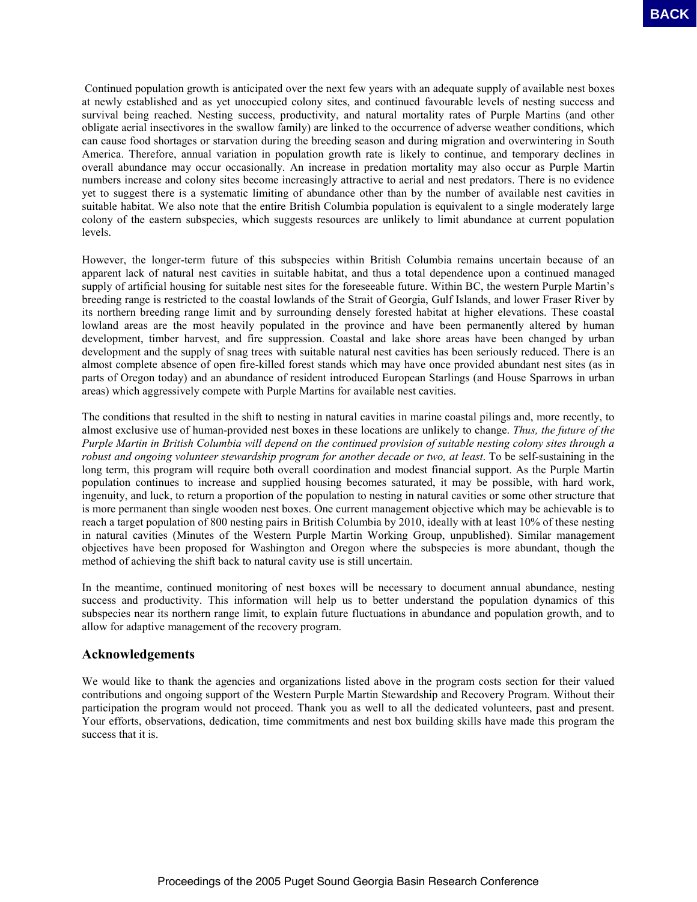Continued population growth is anticipated over the next few years with an adequate supply of available nest boxes at newly established and as yet unoccupied colony sites, and continued favourable levels of nesting success and survival being reached. Nesting success, productivity, and natural mortality rates of Purple Martins (and other obligate aerial insectivores in the swallow family) are linked to the occurrence of adverse weather conditions, which can cause food shortages or starvation during the breeding season and during migration and overwintering in South America. Therefore, annual variation in population growth rate is likely to continue, and temporary declines in overall abundance may occur occasionally. An increase in predation mortality may also occur as Purple Martin numbers increase and colony sites become increasingly attractive to aerial and nest predators. There is no evidence yet to suggest there is a systematic limiting of abundance other than by the number of available nest cavities in suitable habitat. We also note that the entire British Columbia population is equivalent to a single moderately large colony of the eastern subspecies, which suggests resources are unlikely to limit abundance at current population levels. **BASIN may cover the antiquoted vocat for excit for years with an objective top of originate the extreme of the conference basin Research Conference Sound Georgia Basin Research Conference Basin Research Conference Basin R** 

However, the longer-term future of this subspecies within British Columbia remains uncertain because of an apparent lack of natural nest cavities in suitable habitat, and thus a total dependence upon a continued managed supply of artificial housing for suitable nest sites for the foreseeable future. Within BC, the western Purple Martin's breeding range is restricted to the coastal lowlands of the Strait of Georgia, Gulf Islands, and lower Fraser River by its northern breeding range limit and by surrounding densely forested habitat at higher elevations. These coastal lowland areas are the most heavily populated in the province and have been permanently altered by human development, timber harvest, and fire suppression. Coastal and lake shore areas have been changed by urban development and the supply of snag trees with suitable natural nest cavities has been seriously reduced. There is an almost complete absence of open fire-killed forest stands which may have once provided abundant nest sites (as in parts of Oregon today) and an abundance of resident introduced European Starlings (and House Sparrows in urban areas) which aggressively compete with Purple Martins for available nest cavities.

The conditions that resulted in the shift to nesting in natural cavities in marine coastal pilings and, more recently, to almost exclusive use of human-provided nest boxes in these locations are unlikely to change. *Thus, the future of the Purple Martin in British Columbia will depend on the continued provision of suitable nesting colony sites through a robust and ongoing volunteer stewardship program for another decade or two, at least*. To be self-sustaining in the long term, this program will require both overall coordination and modest financial support. As the Purple Martin population continues to increase and supplied housing becomes saturated, it may be possible, with hard work, ingenuity, and luck, to return a proportion of the population to nesting in natural cavities or some other structure that is more permanent than single wooden nest boxes. One current management objective which may be achievable is to reach a target population of 800 nesting pairs in British Columbia by 2010, ideally with at least 10% of these nesting in natural cavities (Minutes of the Western Purple Martin Working Group, unpublished). Similar management objectives have been proposed for Washington and Oregon where the subspecies is more abundant, though the method of achieving the shift back to natural cavity use is still uncertain.

In the meantime, continued monitoring of nest boxes will be necessary to document annual abundance, nesting success and productivity. This information will help us to better understand the population dynamics of this subspecies near its northern range limit, to explain future fluctuations in abundance and population growth, and to allow for adaptive management of the recovery program.

### **Acknowledgements**

We would like to thank the agencies and organizations listed above in the program costs section for their valued contributions and ongoing support of the Western Purple Martin Stewardship and Recovery Program. Without their participation the program would not proceed. Thank you as well to all the dedicated volunteers, past and present. Your efforts, observations, dedication, time commitments and nest box building skills have made this program the success that it is.